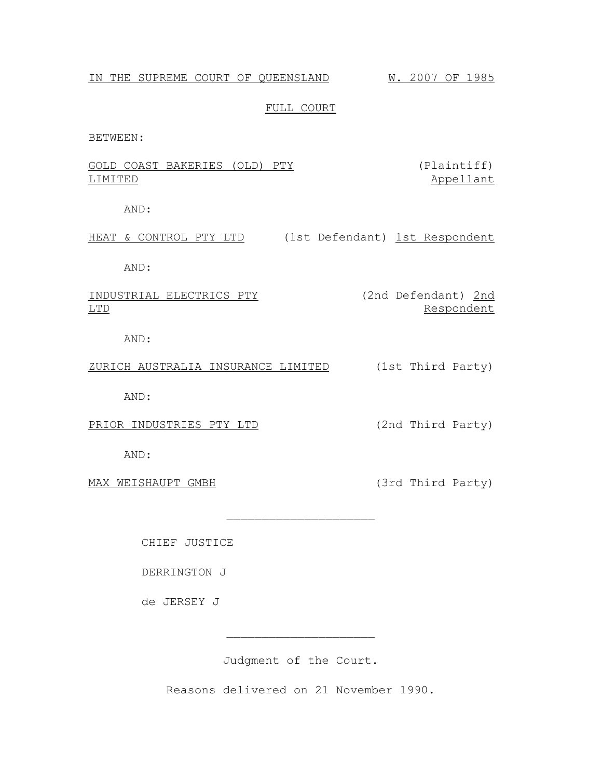# IN THE SUPREME COURT OF QUEENSLAND W. 2007 OF 1985

## FULL COURT

BETWEEN:

|         | GOLD COAST BAKERIES (OLD) PTY |  | (Plaintiff) |
|---------|-------------------------------|--|-------------|
| LIMITED |                               |  | Appellant   |

AND:

HEAT & CONTROL PTY LTD (1st Defendant) 1st Respondent

AND:

INDUSTRIAL ELECTRICS PTY (2nd Defendant) 2nd LTD Respondent

AND:

ZURICH AUSTRALIA INSURANCE LIMITED (1st Third Party)

AND:

PRIOR INDUSTRIES PTY LTD (2nd Third Party)

AND:

MAX WEISHAUPT GMBH (3rd Third Party)

CHIEF JUSTICE

DERRINGTON J

de JERSEY J

Judgment of the Court.

 $\overline{\phantom{a}}$  , where  $\overline{\phantom{a}}$  , where  $\overline{\phantom{a}}$  , where  $\overline{\phantom{a}}$ 

 $\overline{\phantom{a}}$  , where  $\overline{\phantom{a}}$  , where  $\overline{\phantom{a}}$  , where  $\overline{\phantom{a}}$ 

Reasons delivered on 21 November 1990.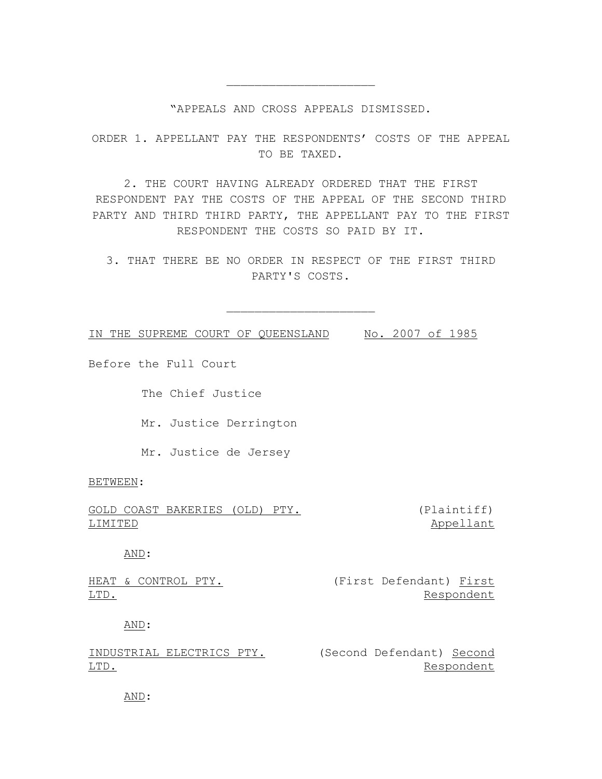## "APPEALS AND CROSS APPEALS DISMISSED.

 $\overline{\phantom{a}}$  , where  $\overline{\phantom{a}}$  , where  $\overline{\phantom{a}}$  , where  $\overline{\phantom{a}}$ 

ORDER 1. APPELLANT PAY THE RESPONDENTS' COSTS OF THE APPEAL TO BE TAXED.

2. THE COURT HAVING ALREADY ORDERED THAT THE FIRST RESPONDENT PAY THE COSTS OF THE APPEAL OF THE SECOND THIRD PARTY AND THIRD THIRD PARTY, THE APPELLANT PAY TO THE FIRST RESPONDENT THE COSTS SO PAID BY IT.

3. THAT THERE BE NO ORDER IN RESPECT OF THE FIRST THIRD PARTY'S COSTS.

 $\overline{\phantom{a}}$  , where  $\overline{\phantom{a}}$  , where  $\overline{\phantom{a}}$  , where  $\overline{\phantom{a}}$ 

IN THE SUPREME COURT OF QUEENSLAND No. 2007 of 1985

Before the Full Court

The Chief Justice

Mr. Justice Derrington

Mr. Justice de Jersey

BETWEEN:

GOLD COAST BAKERIES (OLD) PTY. LIMITED

(Plaintiff) Appellant

AND:

|      | HEAT & CONTROL PTY. |  | (First Defendant) First |            |
|------|---------------------|--|-------------------------|------------|
| LTD. |                     |  |                         | Respondent |

AND:

INDUSTRIAL ELECTRICS PTY. (Second Defendant) Second LTD. Respondent

AND: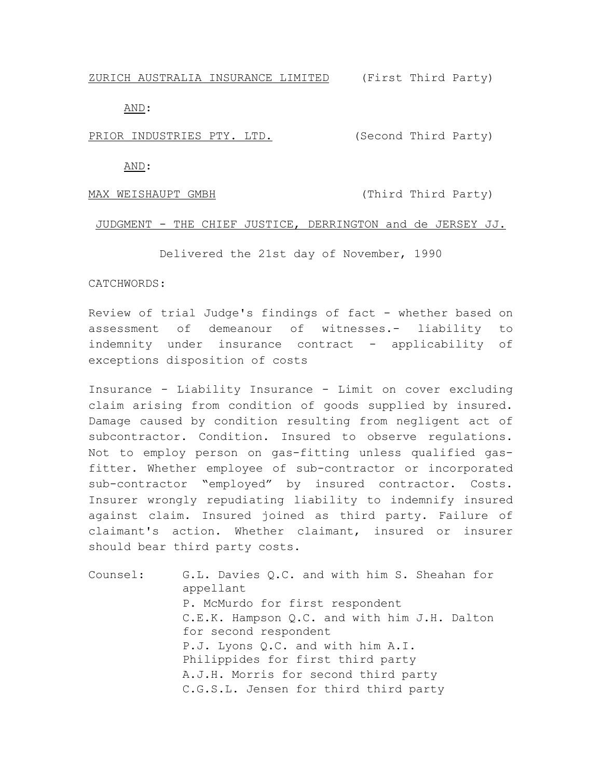ZURICH AUSTRALIA INSURANCE LIMITED (First Third Party)

AND:

PRIOR INDUSTRIES PTY. LTD. (Second Third Party)

AND:

MAX WEISHAUPT GMBH (Third Third Party)

#### JUDGMENT - THE CHIEF JUSTICE, DERRINGTON and de JERSEY JJ.

Delivered the 21st day of November, 1990

## CATCHWORDS:

Review of trial Judge's findings of fact - whether based on assessment of demeanour of witnesses.- liability to indemnity under insurance contract - applicability of exceptions disposition of costs

Insurance - Liability Insurance - Limit on cover excluding claim arising from condition of goods supplied by insured. Damage caused by condition resulting from negligent act of subcontractor. Condition. Insured to observe regulations. Not to employ person on gas-fitting unless qualified gasfitter. Whether employee of sub-contractor or incorporated sub-contractor "employed" by insured contractor. Costs. Insurer wrongly repudiating liability to indemnify insured against claim. Insured joined as third party. Failure of claimant's action. Whether claimant, insured or insurer should bear third party costs.

Counsel: G.L. Davies Q.C. and with him S. Sheahan for appellant P. McMurdo for first respondent C.E.K. Hampson Q.C. and with him J.H. Dalton for second respondent P.J. Lyons Q.C. and with him A.I. Philippides for first third party A.J.H. Morris for second third party C.G.S.L. Jensen for third third party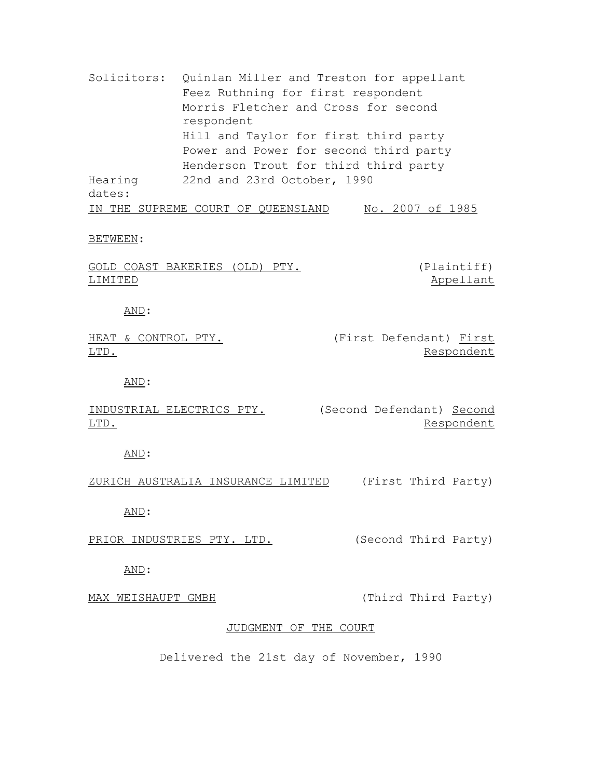Solicitors: Quinlan Miller and Treston for appellant Feez Ruthning for first respondent Morris Fletcher and Cross for second respondent Hill and Taylor for first third party Power and Power for second third party Henderson Trout for third third party Hearing dates: 22nd and 23rd October, 1990 IN THE SUPREME COURT OF QUEENSLAND No. 2007 of 1985

#### BETWEEN:

|         | GOLD COAST BAKERIES (OLD) PTY. |  | (Plaintiff) |
|---------|--------------------------------|--|-------------|
| LIMITED |                                |  | Appellant   |

AND:

|      | HEAT & CONTROL PTY. |  | (First Defendant) First |            |
|------|---------------------|--|-------------------------|------------|
| LTD. |                     |  |                         | Respondent |

AND:

INDUSTRIAL ELECTRICS PTY. (Second Defendant) Second LTD. Respondent

AND:

ZURICH AUSTRALIA INSURANCE LIMITED (First Third Party)

AND:

PRIOR INDUSTRIES PTY. LTD. (Second Third Party)

AND:

MAX WEISHAUPT GMBH (Third Third Party)

### JUDGMENT OF THE COURT

Delivered the 21st day of November, 1990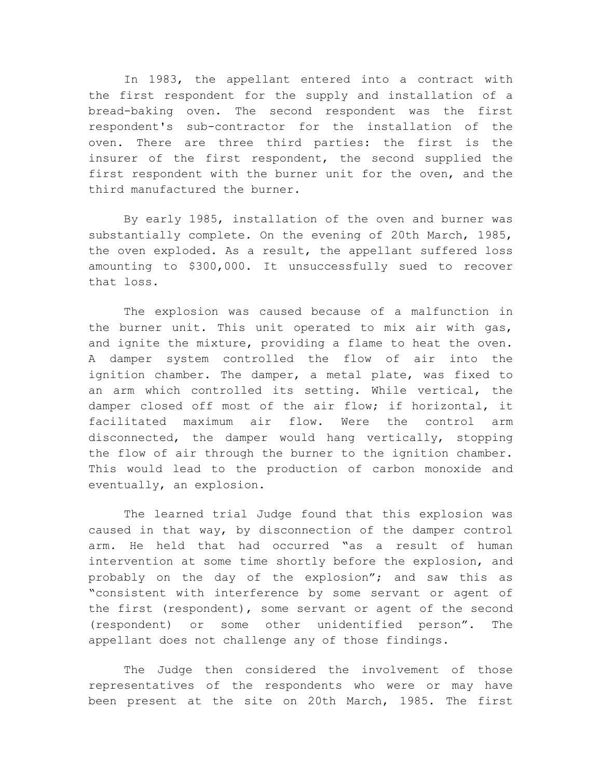In 1983, the appellant entered into a contract with the first respondent for the supply and installation of a bread-baking oven. The second respondent was the first respondent's sub-contractor for the installation of the oven. There are three third parties: the first is the insurer of the first respondent, the second supplied the first respondent with the burner unit for the oven, and the third manufactured the burner.

By early 1985, installation of the oven and burner was substantially complete. On the evening of 20th March, 1985, the oven exploded. As a result, the appellant suffered loss amounting to \$300,000. It unsuccessfully sued to recover that loss.

The explosion was caused because of a malfunction in the burner unit. This unit operated to mix air with gas, and ignite the mixture, providing a flame to heat the oven. A damper system controlled the flow of air into the ignition chamber. The damper, a metal plate, was fixed to an arm which controlled its setting. While vertical, the damper closed off most of the air flow; if horizontal, it facilitated maximum air flow. Were the control arm disconnected, the damper would hang vertically, stopping the flow of air through the burner to the ignition chamber. This would lead to the production of carbon monoxide and eventually, an explosion.

The learned trial Judge found that this explosion was caused in that way, by disconnection of the damper control arm. He held that had occurred "as a result of human intervention at some time shortly before the explosion, and probably on the day of the explosion"; and saw this as "consistent with interference by some servant or agent of the first (respondent), some servant or agent of the second (respondent) or some other unidentified person". The appellant does not challenge any of those findings.

The Judge then considered the involvement of those representatives of the respondents who were or may have been present at the site on 20th March, 1985. The first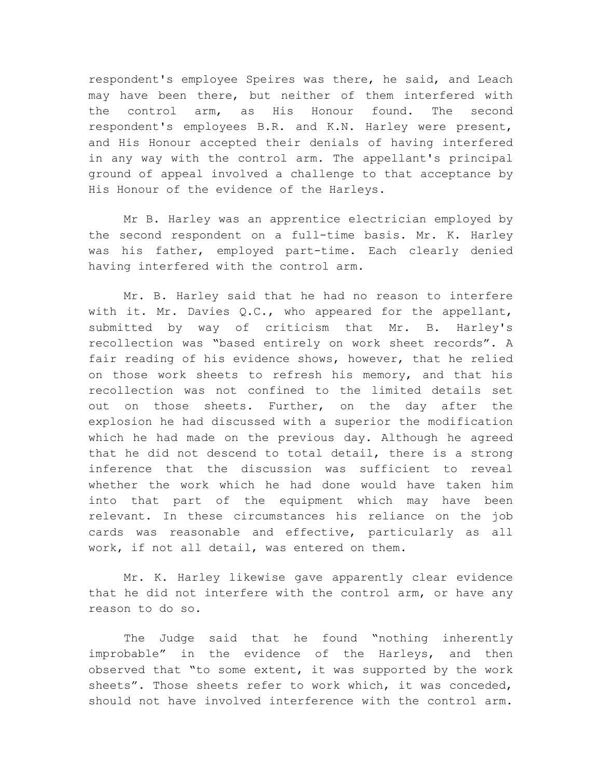respondent's employee Speires was there, he said, and Leach may have been there, but neither of them interfered with the control arm, as His Honour found. The second respondent's employees B.R. and K.N. Harley were present, and His Honour accepted their denials of having interfered in any way with the control arm. The appellant's principal ground of appeal involved a challenge to that acceptance by His Honour of the evidence of the Harleys.

Mr B. Harley was an apprentice electrician employed by the second respondent on a full-time basis. Mr. K. Harley was his father, employed part-time. Each clearly denied having interfered with the control arm.

Mr. B. Harley said that he had no reason to interfere with it. Mr. Davies Q.C., who appeared for the appellant, submitted by way of criticism that Mr. B. Harley's recollection was "based entirely on work sheet records". A fair reading of his evidence shows, however, that he relied on those work sheets to refresh his memory, and that his recollection was not confined to the limited details set out on those sheets. Further, on the day after the explosion he had discussed with a superior the modification which he had made on the previous day. Although he agreed that he did not descend to total detail, there is a strong inference that the discussion was sufficient to reveal whether the work which he had done would have taken him into that part of the equipment which may have been relevant. In these circumstances his reliance on the job cards was reasonable and effective, particularly as all work, if not all detail, was entered on them.

Mr. K. Harley likewise gave apparently clear evidence that he did not interfere with the control arm, or have any reason to do so.

The Judge said that he found "nothing inherently improbable" in the evidence of the Harleys, and then observed that "to some extent, it was supported by the work sheets". Those sheets refer to work which, it was conceded, should not have involved interference with the control arm.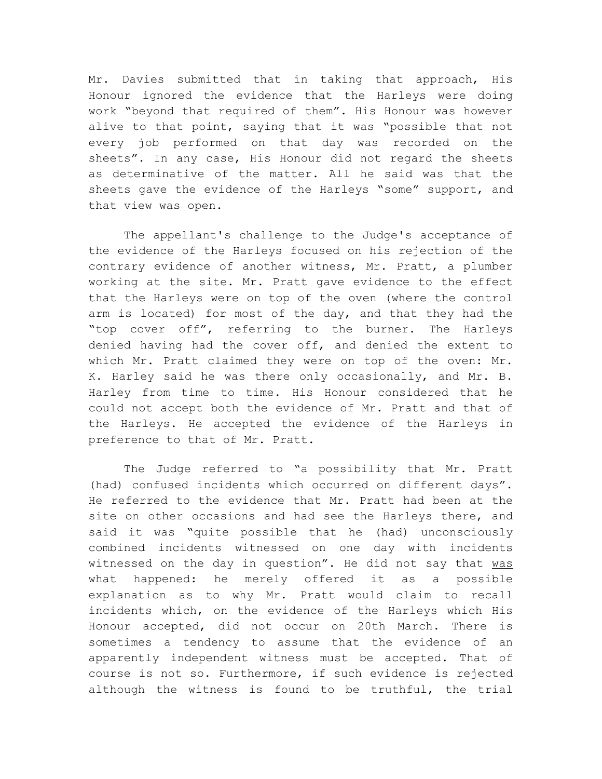Mr. Davies submitted that in taking that approach, His Honour ignored the evidence that the Harleys were doing work "beyond that required of them". His Honour was however alive to that point, saying that it was "possible that not every job performed on that day was recorded on the sheets". In any case, His Honour did not regard the sheets as determinative of the matter. All he said was that the sheets gave the evidence of the Harleys "some" support, and that view was open.

The appellant's challenge to the Judge's acceptance of the evidence of the Harleys focused on his rejection of the contrary evidence of another witness, Mr. Pratt, a plumber working at the site. Mr. Pratt gave evidence to the effect that the Harleys were on top of the oven (where the control arm is located) for most of the day, and that they had the "top cover off", referring to the burner. The Harleys denied having had the cover off, and denied the extent to which Mr. Pratt claimed they were on top of the oven: Mr. K. Harley said he was there only occasionally, and Mr. B. Harley from time to time. His Honour considered that he could not accept both the evidence of Mr. Pratt and that of the Harleys. He accepted the evidence of the Harleys in preference to that of Mr. Pratt.

The Judge referred to "a possibility that Mr. Pratt (had) confused incidents which occurred on different days". He referred to the evidence that Mr. Pratt had been at the site on other occasions and had see the Harleys there, and said it was "quite possible that he (had) unconsciously combined incidents witnessed on one day with incidents witnessed on the day in question". He did not say that was what happened: he merely offered it as a possible explanation as to why Mr. Pratt would claim to recall incidents which, on the evidence of the Harleys which His Honour accepted, did not occur on 20th March. There is sometimes a tendency to assume that the evidence of an apparently independent witness must be accepted. That of course is not so. Furthermore, if such evidence is rejected although the witness is found to be truthful, the trial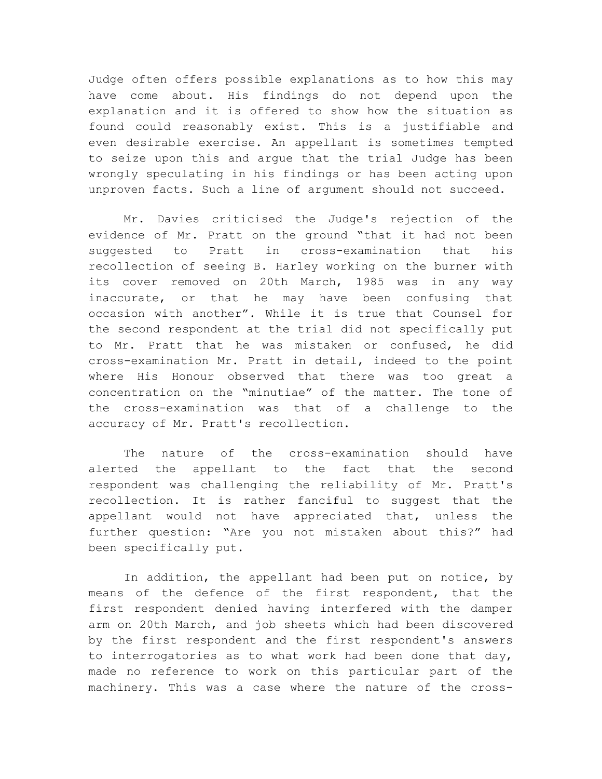Judge often offers possible explanations as to how this may have come about. His findings do not depend upon the explanation and it is offered to show how the situation as found could reasonably exist. This is a justifiable and even desirable exercise. An appellant is sometimes tempted to seize upon this and argue that the trial Judge has been wrongly speculating in his findings or has been acting upon unproven facts. Such a line of argument should not succeed.

Mr. Davies criticised the Judge's rejection of the evidence of Mr. Pratt on the ground "that it had not been suggested to Pratt in cross-examination that his recollection of seeing B. Harley working on the burner with its cover removed on 20th March, 1985 was in any way inaccurate, or that he may have been confusing that occasion with another". While it is true that Counsel for the second respondent at the trial did not specifically put to Mr. Pratt that he was mistaken or confused, he did cross-examination Mr. Pratt in detail, indeed to the point where His Honour observed that there was too great a concentration on the "minutiae" of the matter. The tone of the cross-examination was that of a challenge to the accuracy of Mr. Pratt's recollection.

The nature of the cross-examination should have alerted the appellant to the fact that the second respondent was challenging the reliability of Mr. Pratt's recollection. It is rather fanciful to suggest that the appellant would not have appreciated that, unless the further question: "Are you not mistaken about this?" had been specifically put.

In addition, the appellant had been put on notice, by means of the defence of the first respondent, that the first respondent denied having interfered with the damper arm on 20th March, and job sheets which had been discovered by the first respondent and the first respondent's answers to interrogatories as to what work had been done that day, made no reference to work on this particular part of the machinery. This was a case where the nature of the cross-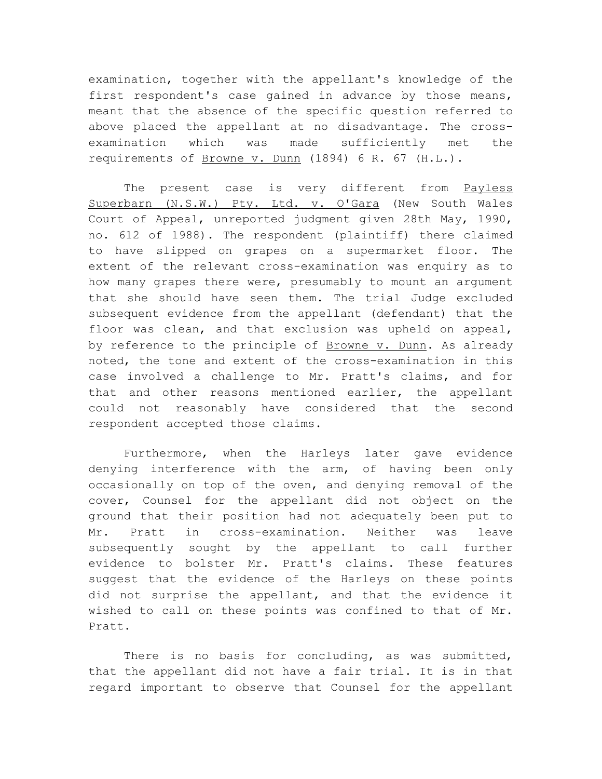examination, together with the appellant's knowledge of the first respondent's case gained in advance by those means, meant that the absence of the specific question referred to above placed the appellant at no disadvantage. The crossexamination which was made sufficiently met the requirements of Browne v. Dunn (1894) 6 R. 67 (H.L.).

The present case is very different from Payless Superbarn (N.S.W.) Pty. Ltd. v. O'Gara (New South Wales Court of Appeal, unreported judgment given 28th May, 1990, no. 612 of 1988). The respondent (plaintiff) there claimed to have slipped on grapes on a supermarket floor. The extent of the relevant cross-examination was enquiry as to how many grapes there were, presumably to mount an argument that she should have seen them. The trial Judge excluded subsequent evidence from the appellant (defendant) that the floor was clean, and that exclusion was upheld on appeal, by reference to the principle of Browne v. Dunn. As already noted, the tone and extent of the cross-examination in this case involved a challenge to Mr. Pratt's claims, and for that and other reasons mentioned earlier, the appellant could not reasonably have considered that the second respondent accepted those claims.

Furthermore, when the Harleys later gave evidence denying interference with the arm, of having been only occasionally on top of the oven, and denying removal of the cover, Counsel for the appellant did not object on the ground that their position had not adequately been put to Mr. Pratt in cross-examination. Neither was leave subsequently sought by the appellant to call further evidence to bolster Mr. Pratt's claims. These features suggest that the evidence of the Harleys on these points did not surprise the appellant, and that the evidence it wished to call on these points was confined to that of Mr. Pratt.

There is no basis for concluding, as was submitted, that the appellant did not have a fair trial. It is in that regard important to observe that Counsel for the appellant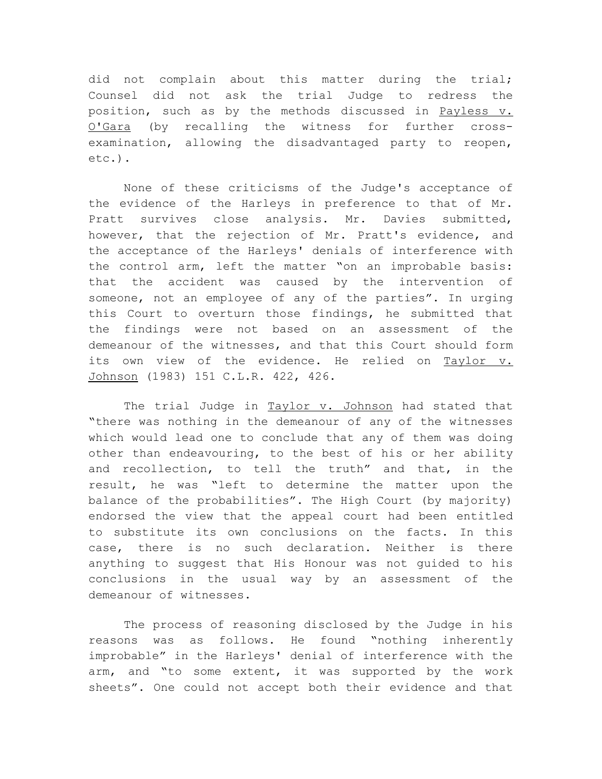did not complain about this matter during the trial; Counsel did not ask the trial Judge to redress the position, such as by the methods discussed in Payless v. O'Gara (by recalling the witness for further crossexamination, allowing the disadvantaged party to reopen, etc.).

None of these criticisms of the Judge's acceptance of the evidence of the Harleys in preference to that of Mr. Pratt survives close analysis. Mr. Davies submitted, however, that the rejection of Mr. Pratt's evidence, and the acceptance of the Harleys' denials of interference with the control arm, left the matter "on an improbable basis: that the accident was caused by the intervention of someone, not an employee of any of the parties". In urging this Court to overturn those findings, he submitted that the findings were not based on an assessment of the demeanour of the witnesses, and that this Court should form its own view of the evidence. He relied on Taylor v. Johnson (1983) 151 C.L.R. 422, 426.

The trial Judge in Taylor v. Johnson had stated that "there was nothing in the demeanour of any of the witnesses which would lead one to conclude that any of them was doing other than endeavouring, to the best of his or her ability and recollection, to tell the truth" and that, in the result, he was "left to determine the matter upon the balance of the probabilities". The High Court (by majority) endorsed the view that the appeal court had been entitled to substitute its own conclusions on the facts. In this case, there is no such declaration. Neither is there anything to suggest that His Honour was not guided to his conclusions in the usual way by an assessment of the demeanour of witnesses.

The process of reasoning disclosed by the Judge in his reasons was as follows. He found "nothing inherently improbable" in the Harleys' denial of interference with the arm, and "to some extent, it was supported by the work sheets". One could not accept both their evidence and that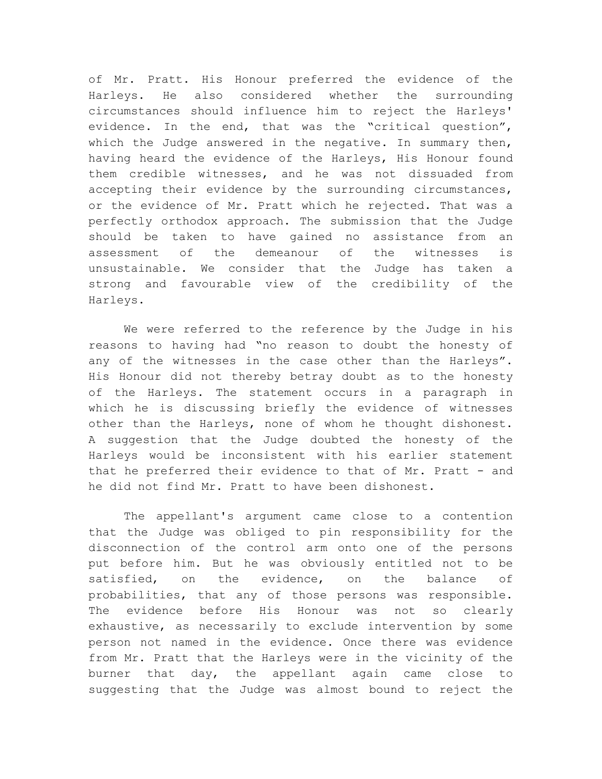of Mr. Pratt. His Honour preferred the evidence of the Harleys. He also considered whether the surrounding circumstances should influence him to reject the Harleys' evidence. In the end, that was the "critical question", which the Judge answered in the negative. In summary then, having heard the evidence of the Harleys, His Honour found them credible witnesses, and he was not dissuaded from accepting their evidence by the surrounding circumstances, or the evidence of Mr. Pratt which he rejected. That was a perfectly orthodox approach. The submission that the Judge should be taken to have gained no assistance from an assessment of the demeanour of the witnesses is unsustainable. We consider that the Judge has taken a strong and favourable view of the credibility of the Harleys.

We were referred to the reference by the Judge in his reasons to having had "no reason to doubt the honesty of any of the witnesses in the case other than the Harleys". His Honour did not thereby betray doubt as to the honesty of the Harleys. The statement occurs in a paragraph in which he is discussing briefly the evidence of witnesses other than the Harleys, none of whom he thought dishonest. A suggestion that the Judge doubted the honesty of the Harleys would be inconsistent with his earlier statement that he preferred their evidence to that of Mr. Pratt - and he did not find Mr. Pratt to have been dishonest.

The appellant's argument came close to a contention that the Judge was obliged to pin responsibility for the disconnection of the control arm onto one of the persons put before him. But he was obviously entitled not to be satisfied, on the evidence, on the balance of probabilities, that any of those persons was responsible. The evidence before His Honour was not so clearly exhaustive, as necessarily to exclude intervention by some person not named in the evidence. Once there was evidence from Mr. Pratt that the Harleys were in the vicinity of the burner that day, the appellant again came close to suggesting that the Judge was almost bound to reject the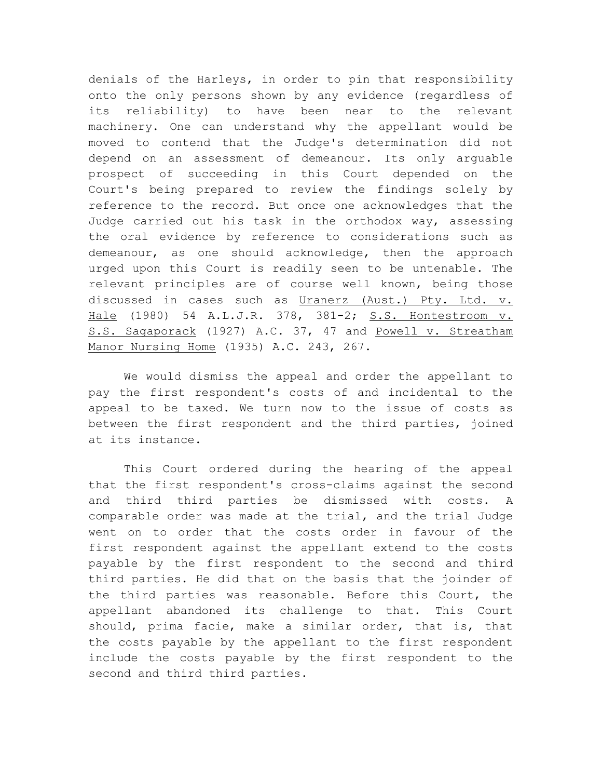denials of the Harleys, in order to pin that responsibility onto the only persons shown by any evidence (regardless of its reliability) to have been near to the relevant machinery. One can understand why the appellant would be moved to contend that the Judge's determination did not depend on an assessment of demeanour. Its only arguable prospect of succeeding in this Court depended on the Court's being prepared to review the findings solely by reference to the record. But once one acknowledges that the Judge carried out his task in the orthodox way, assessing the oral evidence by reference to considerations such as demeanour, as one should acknowledge, then the approach urged upon this Court is readily seen to be untenable. The relevant principles are of course well known, being those discussed in cases such as Uranerz (Aust.) Pty. Ltd. v. Hale (1980) 54 A.L.J.R. 378, 381-2; S.S. Hontestroom v. S.S. Sagaporack (1927) A.C. 37, 47 and Powell v. Streatham Manor Nursing Home (1935) A.C. 243, 267.

We would dismiss the appeal and order the appellant to pay the first respondent's costs of and incidental to the appeal to be taxed. We turn now to the issue of costs as between the first respondent and the third parties, joined at its instance.

This Court ordered during the hearing of the appeal that the first respondent's cross-claims against the second and third third parties be dismissed with costs. A comparable order was made at the trial, and the trial Judge went on to order that the costs order in favour of the first respondent against the appellant extend to the costs payable by the first respondent to the second and third third parties. He did that on the basis that the joinder of the third parties was reasonable. Before this Court, the appellant abandoned its challenge to that. This Court should, prima facie, make a similar order, that is, that the costs payable by the appellant to the first respondent include the costs payable by the first respondent to the second and third third parties.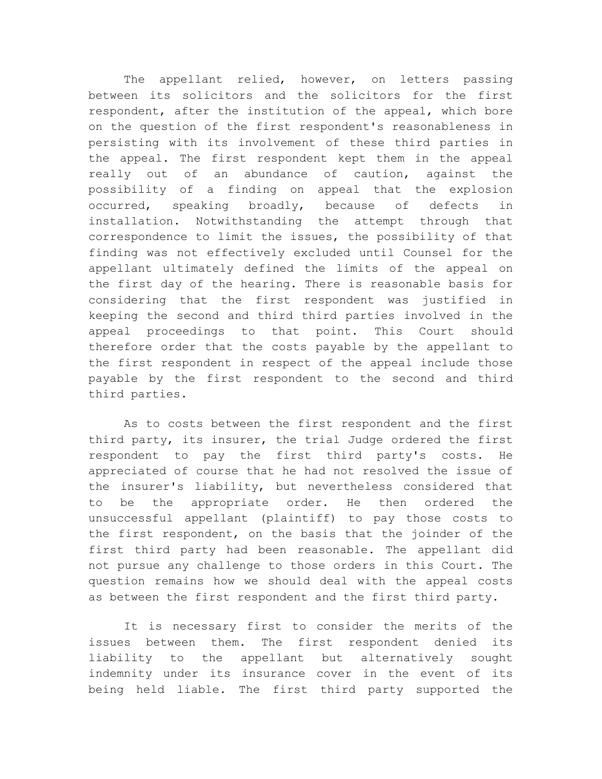The appellant relied, however, on letters passing between its solicitors and the solicitors for the first respondent, after the institution of the appeal, which bore on the question of the first respondent's reasonableness in persisting with its involvement of these third parties in the appeal. The first respondent kept them in the appeal really out of an abundance of caution, against the possibility of a finding on appeal that the explosion occurred, speaking broadly, because of defects in installation. Notwithstanding the attempt through that correspondence to limit the issues, the possibility of that finding was not effectively excluded until Counsel for the appellant ultimately defined the limits of the appeal on the first day of the hearing. There is reasonable basis for considering that the first respondent was justified in keeping the second and third third parties involved in the appeal proceedings to that point. This Court should therefore order that the costs payable by the appellant to the first respondent in respect of the appeal include those payable by the first respondent to the second and third third parties.

As to costs between the first respondent and the first third party, its insurer, the trial Judge ordered the first respondent to pay the first third party's costs. He appreciated of course that he had not resolved the issue of the insurer's liability, but nevertheless considered that to be the appropriate order. He then ordered the unsuccessful appellant (plaintiff) to pay those costs to the first respondent, on the basis that the joinder of the first third party had been reasonable. The appellant did not pursue any challenge to those orders in this Court. The question remains how we should deal with the appeal costs as between the first respondent and the first third party.

It is necessary first to consider the merits of the issues between them. The first respondent denied its liability to the appellant but alternatively sought indemnity under its insurance cover in the event of its being held liable. The first third party supported the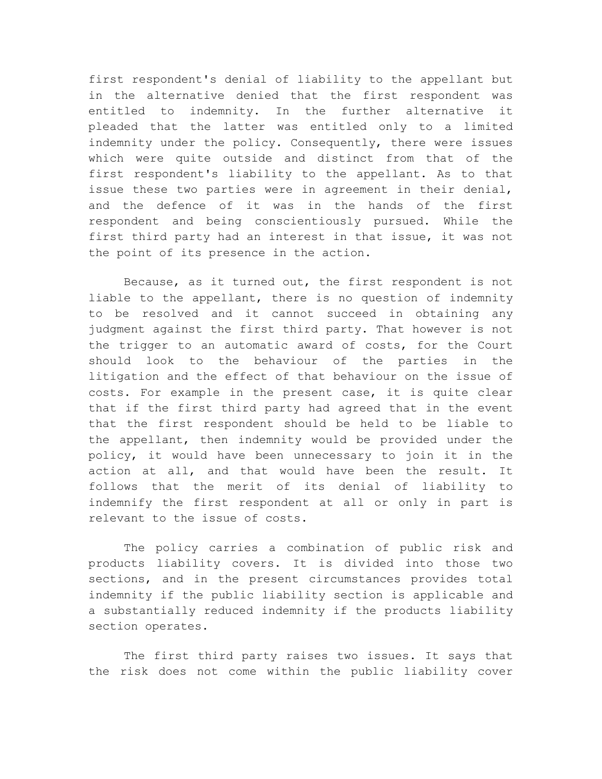first respondent's denial of liability to the appellant but in the alternative denied that the first respondent was entitled to indemnity. In the further alternative it pleaded that the latter was entitled only to a limited indemnity under the policy. Consequently, there were issues which were quite outside and distinct from that of the first respondent's liability to the appellant. As to that issue these two parties were in agreement in their denial, and the defence of it was in the hands of the first respondent and being conscientiously pursued. While the first third party had an interest in that issue, it was not the point of its presence in the action.

Because, as it turned out, the first respondent is not liable to the appellant, there is no question of indemnity to be resolved and it cannot succeed in obtaining any judgment against the first third party. That however is not the trigger to an automatic award of costs, for the Court should look to the behaviour of the parties in the litigation and the effect of that behaviour on the issue of costs. For example in the present case, it is quite clear that if the first third party had agreed that in the event that the first respondent should be held to be liable to the appellant, then indemnity would be provided under the policy, it would have been unnecessary to join it in the action at all, and that would have been the result. It follows that the merit of its denial of liability to indemnify the first respondent at all or only in part is relevant to the issue of costs.

The policy carries a combination of public risk and products liability covers. It is divided into those two sections, and in the present circumstances provides total indemnity if the public liability section is applicable and a substantially reduced indemnity if the products liability section operates.

The first third party raises two issues. It says that the risk does not come within the public liability cover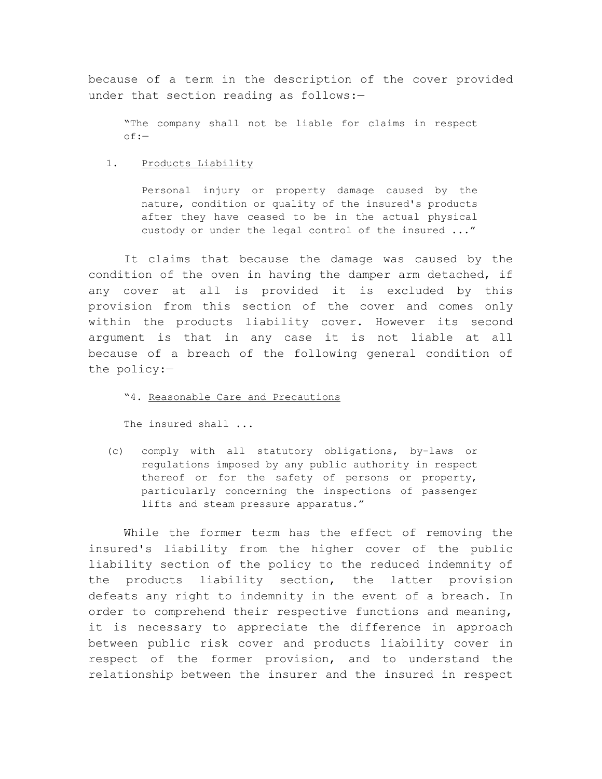because of a term in the description of the cover provided under that section reading as follows:—

"The company shall not be liable for claims in respect of:—

1. Products Liability

Personal injury or property damage caused by the nature, condition or quality of the insured's products after they have ceased to be in the actual physical custody or under the legal control of the insured ..."

It claims that because the damage was caused by the condition of the oven in having the damper arm detached, if any cover at all is provided it is excluded by this provision from this section of the cover and comes only within the products liability cover. However its second argument is that in any case it is not liable at all because of a breach of the following general condition of the policy:—

"4. Reasonable Care and Precautions

The insured shall ...

(c) comply with all statutory obligations, by-laws or regulations imposed by any public authority in respect thereof or for the safety of persons or property, particularly concerning the inspections of passenger lifts and steam pressure apparatus."

While the former term has the effect of removing the insured's liability from the higher cover of the public liability section of the policy to the reduced indemnity of the products liability section, the latter provision defeats any right to indemnity in the event of a breach. In order to comprehend their respective functions and meaning, it is necessary to appreciate the difference in approach between public risk cover and products liability cover in respect of the former provision, and to understand the relationship between the insurer and the insured in respect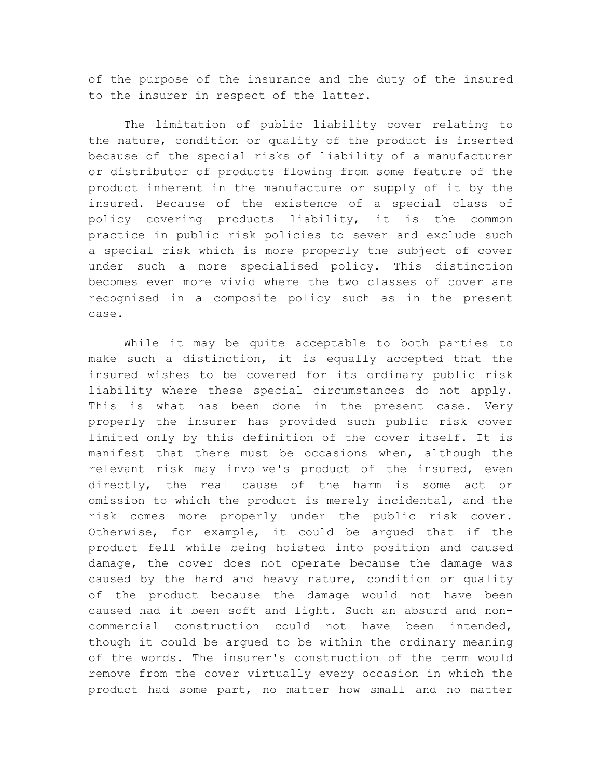of the purpose of the insurance and the duty of the insured to the insurer in respect of the latter.

The limitation of public liability cover relating to the nature, condition or quality of the product is inserted because of the special risks of liability of a manufacturer or distributor of products flowing from some feature of the product inherent in the manufacture or supply of it by the insured. Because of the existence of a special class of policy covering products liability, it is the common practice in public risk policies to sever and exclude such a special risk which is more properly the subject of cover under such a more specialised policy. This distinction becomes even more vivid where the two classes of cover are recognised in a composite policy such as in the present case.

While it may be quite acceptable to both parties to make such a distinction, it is equally accepted that the insured wishes to be covered for its ordinary public risk liability where these special circumstances do not apply. This is what has been done in the present case. Very properly the insurer has provided such public risk cover limited only by this definition of the cover itself. It is manifest that there must be occasions when, although the relevant risk may involve's product of the insured, even directly, the real cause of the harm is some act or omission to which the product is merely incidental, and the risk comes more properly under the public risk cover. Otherwise, for example, it could be argued that if the product fell while being hoisted into position and caused damage, the cover does not operate because the damage was caused by the hard and heavy nature, condition or quality of the product because the damage would not have been caused had it been soft and light. Such an absurd and noncommercial construction could not have been intended, though it could be argued to be within the ordinary meaning of the words. The insurer's construction of the term would remove from the cover virtually every occasion in which the product had some part, no matter how small and no matter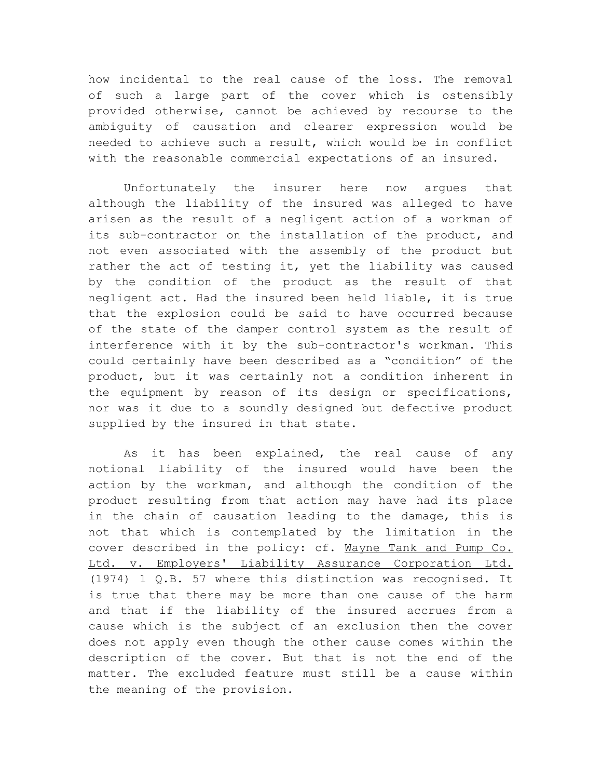how incidental to the real cause of the loss. The removal of such a large part of the cover which is ostensibly provided otherwise, cannot be achieved by recourse to the ambiguity of causation and clearer expression would be needed to achieve such a result, which would be in conflict with the reasonable commercial expectations of an insured.

Unfortunately the insurer here now argues that although the liability of the insured was alleged to have arisen as the result of a negligent action of a workman of its sub-contractor on the installation of the product, and not even associated with the assembly of the product but rather the act of testing it, yet the liability was caused by the condition of the product as the result of that negligent act. Had the insured been held liable, it is true that the explosion could be said to have occurred because of the state of the damper control system as the result of interference with it by the sub-contractor's workman. This could certainly have been described as a "condition" of the product, but it was certainly not a condition inherent in the equipment by reason of its design or specifications, nor was it due to a soundly designed but defective product supplied by the insured in that state.

As it has been explained, the real cause of any notional liability of the insured would have been the action by the workman, and although the condition of the product resulting from that action may have had its place in the chain of causation leading to the damage, this is not that which is contemplated by the limitation in the cover described in the policy: cf. Wayne Tank and Pump Co. Ltd. v. Employers' Liability Assurance Corporation Ltd. (1974) 1 Q.B. 57 where this distinction was recognised. It is true that there may be more than one cause of the harm and that if the liability of the insured accrues from a cause which is the subject of an exclusion then the cover does not apply even though the other cause comes within the description of the cover. But that is not the end of the matter. The excluded feature must still be a cause within the meaning of the provision.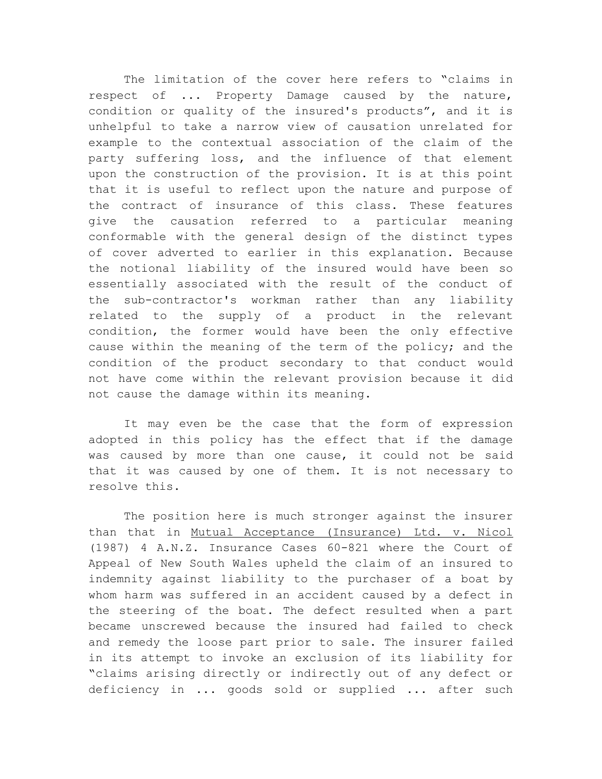The limitation of the cover here refers to "claims in respect of ... Property Damage caused by the nature, condition or quality of the insured's products", and it is unhelpful to take a narrow view of causation unrelated for example to the contextual association of the claim of the party suffering loss, and the influence of that element upon the construction of the provision. It is at this point that it is useful to reflect upon the nature and purpose of the contract of insurance of this class. These features give the causation referred to a particular meaning conformable with the general design of the distinct types of cover adverted to earlier in this explanation. Because the notional liability of the insured would have been so essentially associated with the result of the conduct of the sub-contractor's workman rather than any liability related to the supply of a product in the relevant condition, the former would have been the only effective cause within the meaning of the term of the policy; and the condition of the product secondary to that conduct would not have come within the relevant provision because it did not cause the damage within its meaning.

It may even be the case that the form of expression adopted in this policy has the effect that if the damage was caused by more than one cause, it could not be said that it was caused by one of them. It is not necessary to resolve this.

The position here is much stronger against the insurer than that in Mutual Acceptance (Insurance) Ltd. v. Nicol (1987) 4 A.N.Z. Insurance Cases 60-821 where the Court of Appeal of New South Wales upheld the claim of an insured to indemnity against liability to the purchaser of a boat by whom harm was suffered in an accident caused by a defect in the steering of the boat. The defect resulted when a part became unscrewed because the insured had failed to check and remedy the loose part prior to sale. The insurer failed in its attempt to invoke an exclusion of its liability for "claims arising directly or indirectly out of any defect or deficiency in ... goods sold or supplied ... after such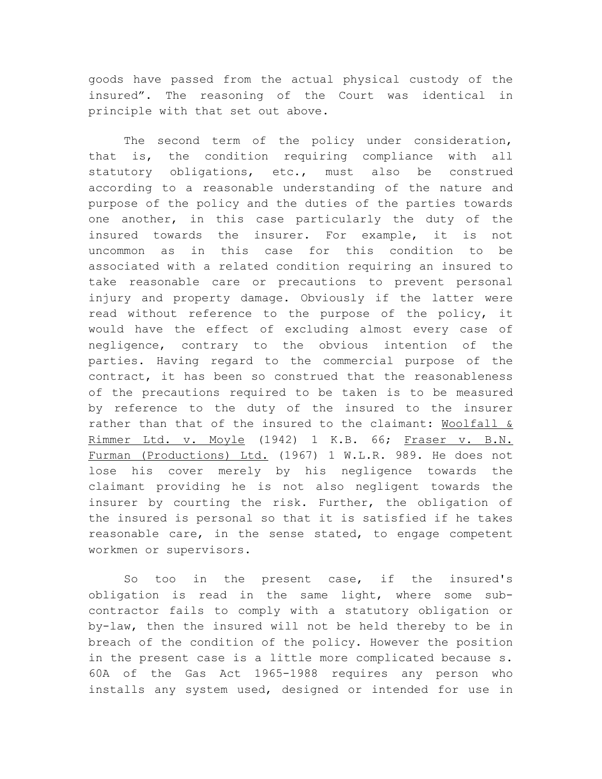goods have passed from the actual physical custody of the insured". The reasoning of the Court was identical in principle with that set out above.

The second term of the policy under consideration, that is, the condition requiring compliance with all statutory obligations, etc., must also be construed according to a reasonable understanding of the nature and purpose of the policy and the duties of the parties towards one another, in this case particularly the duty of the insured towards the insurer. For example, it is not uncommon as in this case for this condition to be associated with a related condition requiring an insured to take reasonable care or precautions to prevent personal injury and property damage. Obviously if the latter were read without reference to the purpose of the policy, it would have the effect of excluding almost every case of negligence, contrary to the obvious intention of the parties. Having regard to the commercial purpose of the contract, it has been so construed that the reasonableness of the precautions required to be taken is to be measured by reference to the duty of the insured to the insurer rather than that of the insured to the claimant: Woolfall & Rimmer Ltd. v. Moyle (1942) 1 K.B. 66; Fraser v. B.N. Furman (Productions) Ltd. (1967) 1 W.L.R. 989. He does not lose his cover merely by his negligence towards the claimant providing he is not also negligent towards the insurer by courting the risk. Further, the obligation of the insured is personal so that it is satisfied if he takes reasonable care, in the sense stated, to engage competent workmen or supervisors.

So too in the present case, if the insured's obligation is read in the same light, where some subcontractor fails to comply with a statutory obligation or by-law, then the insured will not be held thereby to be in breach of the condition of the policy. However the position in the present case is a little more complicated because s. 60A of the Gas Act 1965-1988 requires any person who installs any system used, designed or intended for use in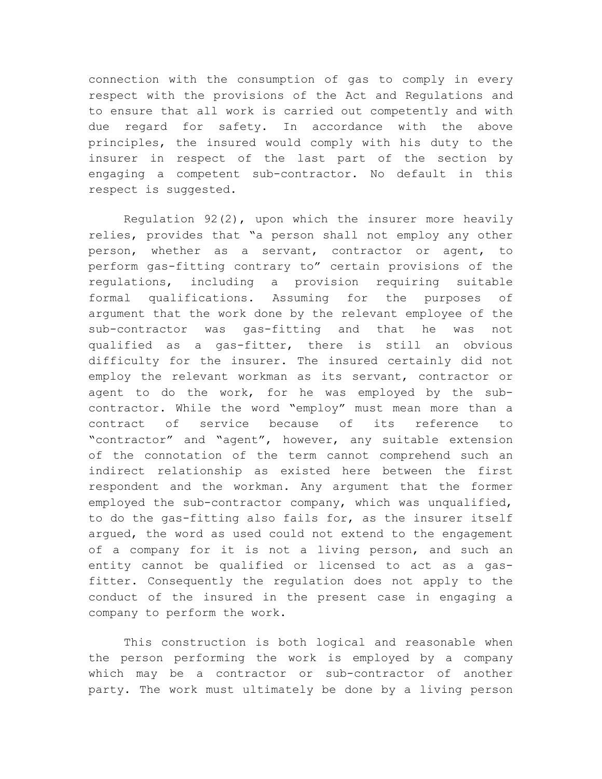connection with the consumption of gas to comply in every respect with the provisions of the Act and Regulations and to ensure that all work is carried out competently and with due regard for safety. In accordance with the above principles, the insured would comply with his duty to the insurer in respect of the last part of the section by engaging a competent sub-contractor. No default in this respect is suggested.

Regulation 92(2), upon which the insurer more heavily relies, provides that "a person shall not employ any other person, whether as a servant, contractor or agent, to perform gas-fitting contrary to" certain provisions of the regulations, including a provision requiring suitable formal qualifications. Assuming for the purposes of argument that the work done by the relevant employee of the sub-contractor was gas-fitting and that he was not qualified as a gas-fitter, there is still an obvious difficulty for the insurer. The insured certainly did not employ the relevant workman as its servant, contractor or agent to do the work, for he was employed by the subcontractor. While the word "employ" must mean more than a contract of service because of its reference to "contractor" and "agent", however, any suitable extension of the connotation of the term cannot comprehend such an indirect relationship as existed here between the first respondent and the workman. Any argument that the former employed the sub-contractor company, which was unqualified, to do the gas-fitting also fails for, as the insurer itself argued, the word as used could not extend to the engagement of a company for it is not a living person, and such an entity cannot be qualified or licensed to act as a gasfitter. Consequently the regulation does not apply to the conduct of the insured in the present case in engaging a company to perform the work.

This construction is both logical and reasonable when the person performing the work is employed by a company which may be a contractor or sub-contractor of another party. The work must ultimately be done by a living person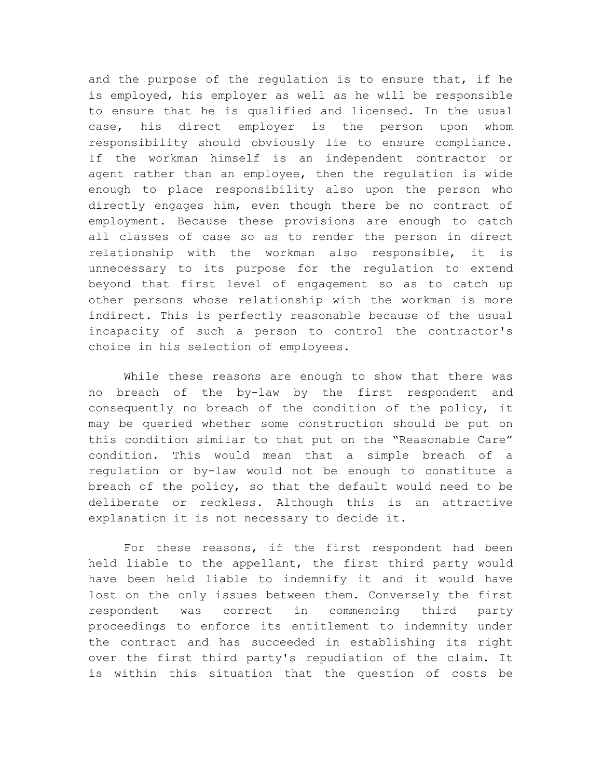and the purpose of the regulation is to ensure that, if he is employed, his employer as well as he will be responsible to ensure that he is qualified and licensed. In the usual case, his direct employer is the person upon whom responsibility should obviously lie to ensure compliance. If the workman himself is an independent contractor or agent rather than an employee, then the regulation is wide enough to place responsibility also upon the person who directly engages him, even though there be no contract of employment. Because these provisions are enough to catch all classes of case so as to render the person in direct relationship with the workman also responsible, it is unnecessary to its purpose for the regulation to extend beyond that first level of engagement so as to catch up other persons whose relationship with the workman is more indirect. This is perfectly reasonable because of the usual incapacity of such a person to control the contractor's choice in his selection of employees.

While these reasons are enough to show that there was no breach of the by-law by the first respondent and consequently no breach of the condition of the policy, it may be queried whether some construction should be put on this condition similar to that put on the "Reasonable Care" condition. This would mean that a simple breach of a regulation or by-law would not be enough to constitute a breach of the policy, so that the default would need to be deliberate or reckless. Although this is an attractive explanation it is not necessary to decide it.

For these reasons, if the first respondent had been held liable to the appellant, the first third party would have been held liable to indemnify it and it would have lost on the only issues between them. Conversely the first respondent was correct in commencing third party proceedings to enforce its entitlement to indemnity under the contract and has succeeded in establishing its right over the first third party's repudiation of the claim. It is within this situation that the question of costs be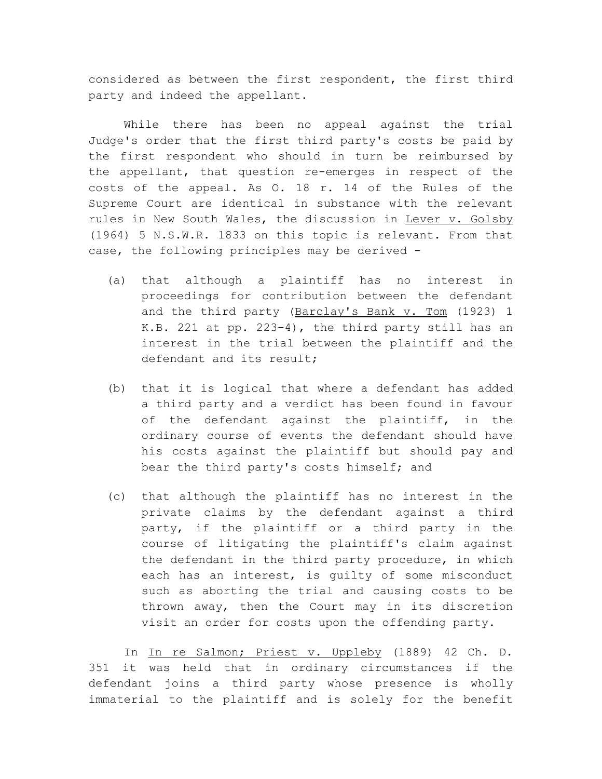considered as between the first respondent, the first third party and indeed the appellant.

While there has been no appeal against the trial Judge's order that the first third party's costs be paid by the first respondent who should in turn be reimbursed by the appellant, that question re-emerges in respect of the costs of the appeal. As O. 18 r. 14 of the Rules of the Supreme Court are identical in substance with the relevant rules in New South Wales, the discussion in Lever v. Golsby (1964) 5 N.S.W.R. 1833 on this topic is relevant. From that case, the following principles may be derived -

- (a) that although a plaintiff has no interest in proceedings for contribution between the defendant and the third party (Barclay's Bank v. Tom (1923) 1 K.B. 221 at pp. 223-4), the third party still has an interest in the trial between the plaintiff and the defendant and its result;
- (b) that it is logical that where a defendant has added a third party and a verdict has been found in favour of the defendant against the plaintiff, in the ordinary course of events the defendant should have his costs against the plaintiff but should pay and bear the third party's costs himself; and
- (c) that although the plaintiff has no interest in the private claims by the defendant against a third party, if the plaintiff or a third party in the course of litigating the plaintiff's claim against the defendant in the third party procedure, in which each has an interest, is guilty of some misconduct such as aborting the trial and causing costs to be thrown away, then the Court may in its discretion visit an order for costs upon the offending party.

In In re Salmon; Priest v. Uppleby (1889) 42 Ch. D. 351 it was held that in ordinary circumstances if the defendant joins a third party whose presence is wholly immaterial to the plaintiff and is solely for the benefit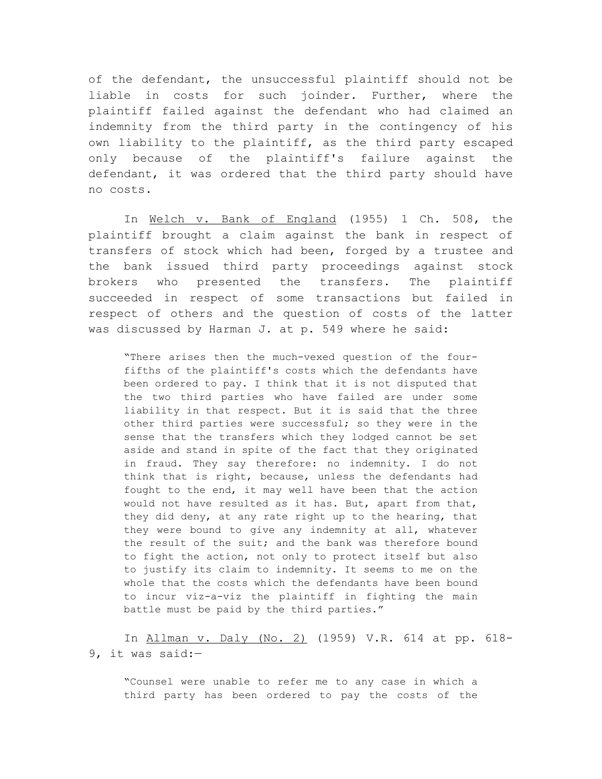of the defendant, the unsuccessful plaintiff should not be liable in costs for such joinder. Further, where the plaintiff failed against the defendant who had claimed an indemnity from the third party in the contingency of his own liability to the plaintiff, as the third party escaped only because of the plaintiff's failure against the defendant, it was ordered that the third party should have no costs.

In Welch v. Bank of England (1955) 1 Ch. 508, the plaintiff brought a claim against the bank in respect of transfers of stock which had been, forged by a trustee and the bank issued third party proceedings against stock brokers who presented the transfers. The plaintiff succeeded in respect of some transactions but failed in respect of others and the question of costs of the latter was discussed by Harman J. at p. 549 where he said:

"There arises then the much-vexed question of the fourfifths of the plaintiff's costs which the defendants have been ordered to pay. I think that it is not disputed that the two third parties who have failed are under some liability in that respect. But it is said that the three other third parties were successful; so they were in the sense that the transfers which they lodged cannot be set aside and stand in spite of the fact that they originated in fraud. They say therefore: no indemnity. I do not think that is right, because, unless the defendants had fought to the end, it may well have been that the action would not have resulted as it has. But, apart from that, they did deny, at any rate right up to the hearing, that they were bound to give any indemnity at all, whatever the result of the suit; and the bank was therefore bound to fight the action, not only to protect itself but also to justify its claim to indemnity. It seems to me on the whole that the costs which the defendants have been bound to incur viz-a-viz the plaintiff in fighting the main battle must be paid by the third parties."

In Allman v. Daly (No. 2) (1959) V.R. 614 at pp. 618-9, it was said:—

"Counsel were unable to refer me to any case in which a third party has been ordered to pay the costs of the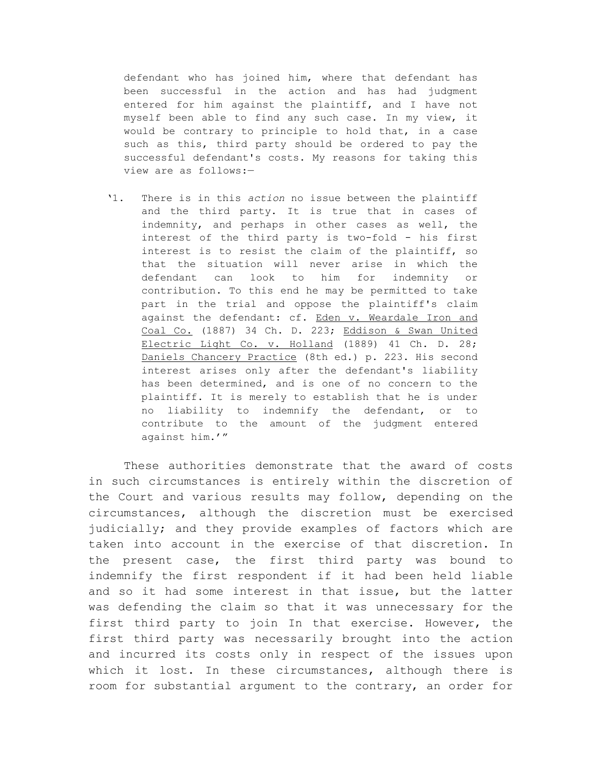defendant who has joined him, where that defendant has been successful in the action and has had judgment entered for him against the plaintiff, and I have not myself been able to find any such case. In my view, it would be contrary to principle to hold that, in a case such as this, third party should be ordered to pay the successful defendant's costs. My reasons for taking this view are as follows:—

'1. There is in this *action* no issue between the plaintiff and the third party. It is true that in cases of indemnity, and perhaps in other cases as well, the interest of the third party is two-fold - his first interest is to resist the claim of the plaintiff, so that the situation will never arise in which the defendant can look to him for indemnity or contribution. To this end he may be permitted to take part in the trial and oppose the plaintiff's claim against the defendant: cf. Eden v. Weardale Iron and Coal Co. (1887) 34 Ch. D. 223; Eddison & Swan United Electric Light Co. v. Holland (1889) 41 Ch. D. 28; Daniels Chancery Practice (8th ed.) p. 223. His second interest arises only after the defendant's liability has been determined, and is one of no concern to the plaintiff. It is merely to establish that he is under no liability to indemnify the defendant, or to contribute to the amount of the judgment entered against him.'"

These authorities demonstrate that the award of costs in such circumstances is entirely within the discretion of the Court and various results may follow, depending on the circumstances, although the discretion must be exercised judicially; and they provide examples of factors which are taken into account in the exercise of that discretion. In the present case, the first third party was bound to indemnify the first respondent if it had been held liable and so it had some interest in that issue, but the latter was defending the claim so that it was unnecessary for the first third party to join In that exercise. However, the first third party was necessarily brought into the action and incurred its costs only in respect of the issues upon which it lost. In these circumstances, although there is room for substantial argument to the contrary, an order for